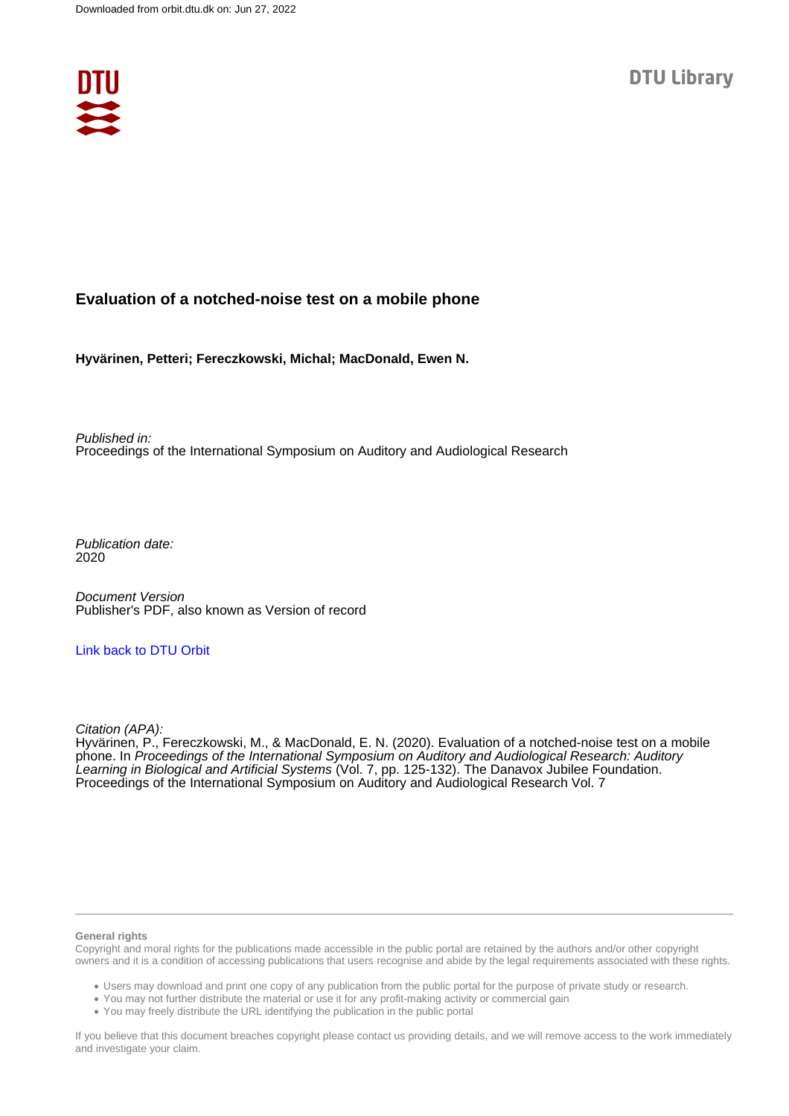

### **Evaluation of a notched-noise test on a mobile phone**

**Hyvärinen, Petteri; Fereczkowski, Michal; MacDonald, Ewen N.**

Published in: Proceedings of the International Symposium on Auditory and Audiological Research

Publication date: 2020

Document Version Publisher's PDF, also known as Version of record

#### [Link back to DTU Orbit](https://orbit.dtu.dk/en/publications/519e91e4-54c1-4267-a437-473a5f828197)

Citation (APA):

Hyvärinen, P., Fereczkowski, M., & MacDonald, E. N. (2020). Evaluation of a notched-noise test on a mobile phone. In Proceedings of the International Symposium on Auditory and Audiological Research: Auditory Learning in Biological and Artificial Systems (Vol. 7, pp. 125-132). The Danavox Jubilee Foundation. Proceedings of the International Symposium on Auditory and Audiological Research Vol. 7

#### **General rights**

Copyright and moral rights for the publications made accessible in the public portal are retained by the authors and/or other copyright owners and it is a condition of accessing publications that users recognise and abide by the legal requirements associated with these rights.

Users may download and print one copy of any publication from the public portal for the purpose of private study or research.

- You may not further distribute the material or use it for any profit-making activity or commercial gain
- You may freely distribute the URL identifying the publication in the public portal

If you believe that this document breaches copyright please contact us providing details, and we will remove access to the work immediately and investigate your claim.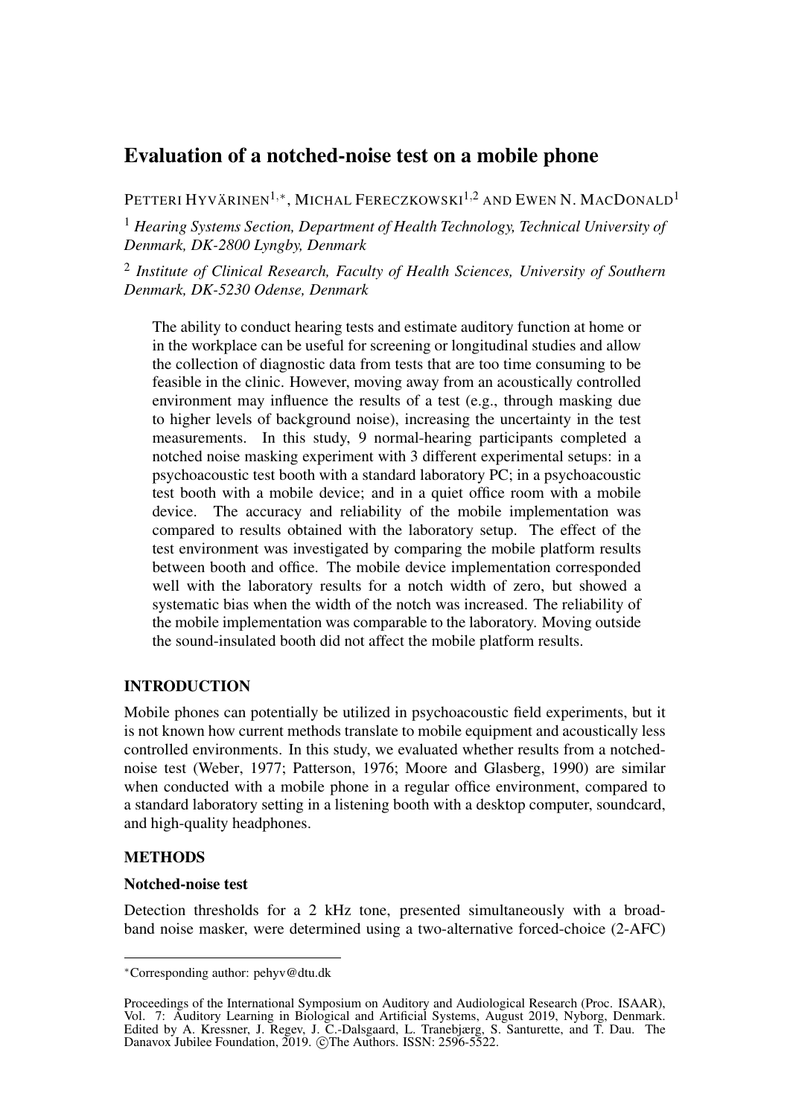# Evaluation of a notched-noise test on a mobile phone

PETTERI HYVÄRINEN<sup>1,\*</sup>, MICHAL FERECZKOWSKI<sup>1,2</sup> and Ewen N. MacDonald<sup>1</sup>

<sup>1</sup> *Hearing Systems Section, Department of Health Technology, Technical University of Denmark, DK-2800 Lyngby, Denmark*

2 *Institute of Clinical Research, Faculty of Health Sciences, University of Southern Denmark, DK-5230 Odense, Denmark*

The ability to conduct hearing tests and estimate auditory function at home or in the workplace can be useful for screening or longitudinal studies and allow the collection of diagnostic data from tests that are too time consuming to be feasible in the clinic. However, moving away from an acoustically controlled environment may influence the results of a test (e.g., through masking due to higher levels of background noise), increasing the uncertainty in the test measurements. In this study, 9 normal-hearing participants completed a notched noise masking experiment with 3 different experimental setups: in a psychoacoustic test booth with a standard laboratory PC; in a psychoacoustic test booth with a mobile device; and in a quiet office room with a mobile device. The accuracy and reliability of the mobile implementation was compared to results obtained with the laboratory setup. The effect of the test environment was investigated by comparing the mobile platform results between booth and office. The mobile device implementation corresponded well with the laboratory results for a notch width of zero, but showed a systematic bias when the width of the notch was increased. The reliability of the mobile implementation was comparable to the laboratory. Moving outside the sound-insulated booth did not affect the mobile platform results.

## INTRODUCTION

Mobile phones can potentially be utilized in psychoacoustic field experiments, but it is not known how current methods translate to mobile equipment and acoustically less controlled environments. In this study, we evaluated whether results from a notchednoise test [\(Weber, 1977;](#page-8-0) [Patterson, 1976;](#page-8-1) [Moore and Glasberg, 1990\)](#page-8-2) are similar when conducted with a mobile phone in a regular office environment, compared to a standard laboratory setting in a listening booth with a desktop computer, soundcard, and high-quality headphones.

## **METHODS**

#### Notched-noise test

Detection thresholds for a 2 kHz tone, presented simultaneously with a broadband noise masker, were determined using a two-alternative forced-choice (2-AFC)

<sup>∗</sup>Corresponding author: pehyv@dtu.dk

Proceedings of the International Symposium on Auditory and Audiological Research (Proc. ISAAR), Vol. 7: Auditory Learning in Biological and Artificial Systems, August 2019, Nyborg, Denmark. Edited by A. Kressner, J. Regev, J. C.-Dalsgaard, L. Tranebjærg, S. Santurette, and T. Dau. The Danavox Jubilee Foundation, 2019. ©The Authors. ISSN: 2596-5522.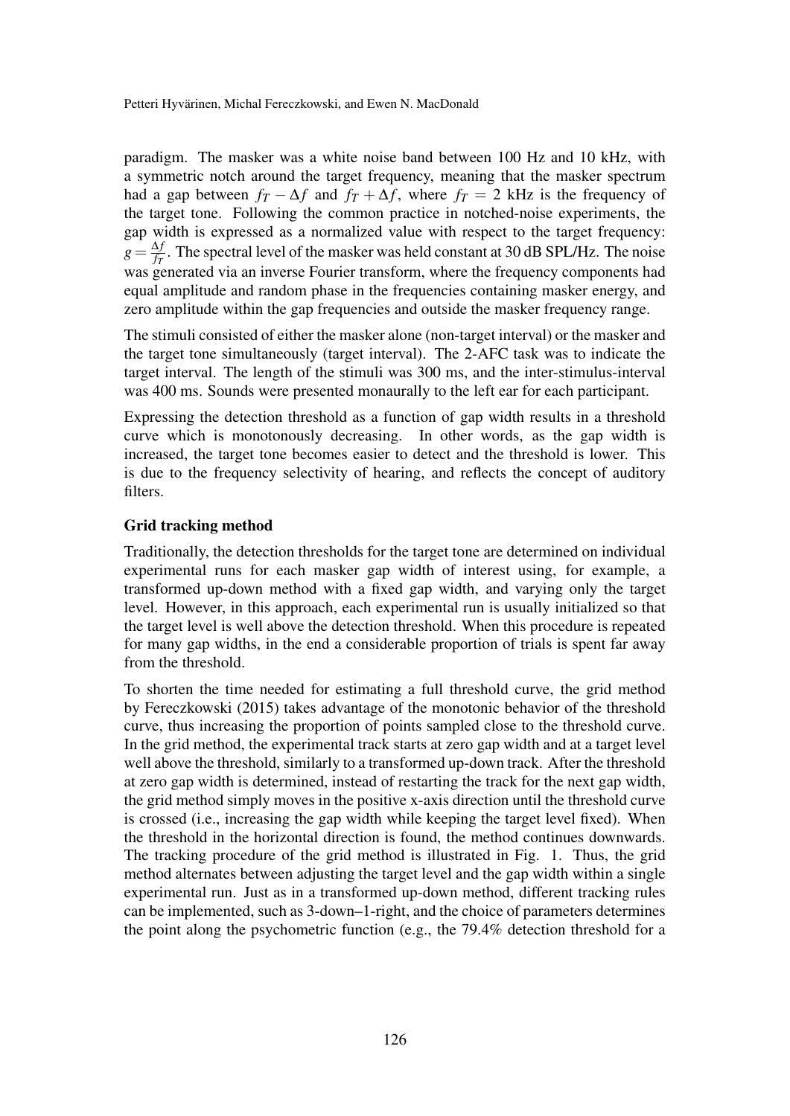Petteri Hyvärinen, Michal Fereczkowski, and Ewen N. MacDonald

paradigm. The masker was a white noise band between 100 Hz and 10 kHz, with a symmetric notch around the target frequency, meaning that the masker spectrum had a gap between  $f_T - \Delta f$  and  $f_T + \Delta f$ , where  $f_T = 2$  kHz is the frequency of the target tone. Following the common practice in notched-noise experiments, the gap width is expressed as a normalized value with respect to the target frequency:  $g = \frac{\Delta f}{f_x}$  $\frac{\Delta f}{f_T}$ . The spectral level of the masker was held constant at 30 dB SPL/Hz. The noise was generated via an inverse Fourier transform, where the frequency components had equal amplitude and random phase in the frequencies containing masker energy, and zero amplitude within the gap frequencies and outside the masker frequency range.

The stimuli consisted of either the masker alone (non-target interval) or the masker and the target tone simultaneously (target interval). The 2-AFC task was to indicate the target interval. The length of the stimuli was 300 ms, and the inter-stimulus-interval was 400 ms. Sounds were presented monaurally to the left ear for each participant.

Expressing the detection threshold as a function of gap width results in a threshold curve which is monotonously decreasing. In other words, as the gap width is increased, the target tone becomes easier to detect and the threshold is lower. This is due to the frequency selectivity of hearing, and reflects the concept of auditory filters.

## <span id="page-2-0"></span>Grid tracking method

Traditionally, the detection thresholds for the target tone are determined on individual experimental runs for each masker gap width of interest using, for example, a transformed up-down method with a fixed gap width, and varying only the target level. However, in this approach, each experimental run is usually initialized so that the target level is well above the detection threshold. When this procedure is repeated for many gap widths, in the end a considerable proportion of trials is spent far away from the threshold.

To shorten the time needed for estimating a full threshold curve, the grid method by [Fereczkowski](#page-8-3) [\(2015\)](#page-8-3) takes advantage of the monotonic behavior of the threshold curve, thus increasing the proportion of points sampled close to the threshold curve. In the grid method, the experimental track starts at zero gap width and at a target level well above the threshold, similarly to a transformed up-down track. After the threshold at zero gap width is determined, instead of restarting the track for the next gap width, the grid method simply moves in the positive x-axis direction until the threshold curve is crossed (i.e., increasing the gap width while keeping the target level fixed). When the threshold in the horizontal direction is found, the method continues downwards. The tracking procedure of the grid method is illustrated in Fig. [1.](#page-3-0) Thus, the grid method alternates between adjusting the target level and the gap width within a single experimental run. Just as in a transformed up-down method, different tracking rules can be implemented, such as 3-down–1-right, and the choice of parameters determines the point along the psychometric function (e.g., the 79.4% detection threshold for a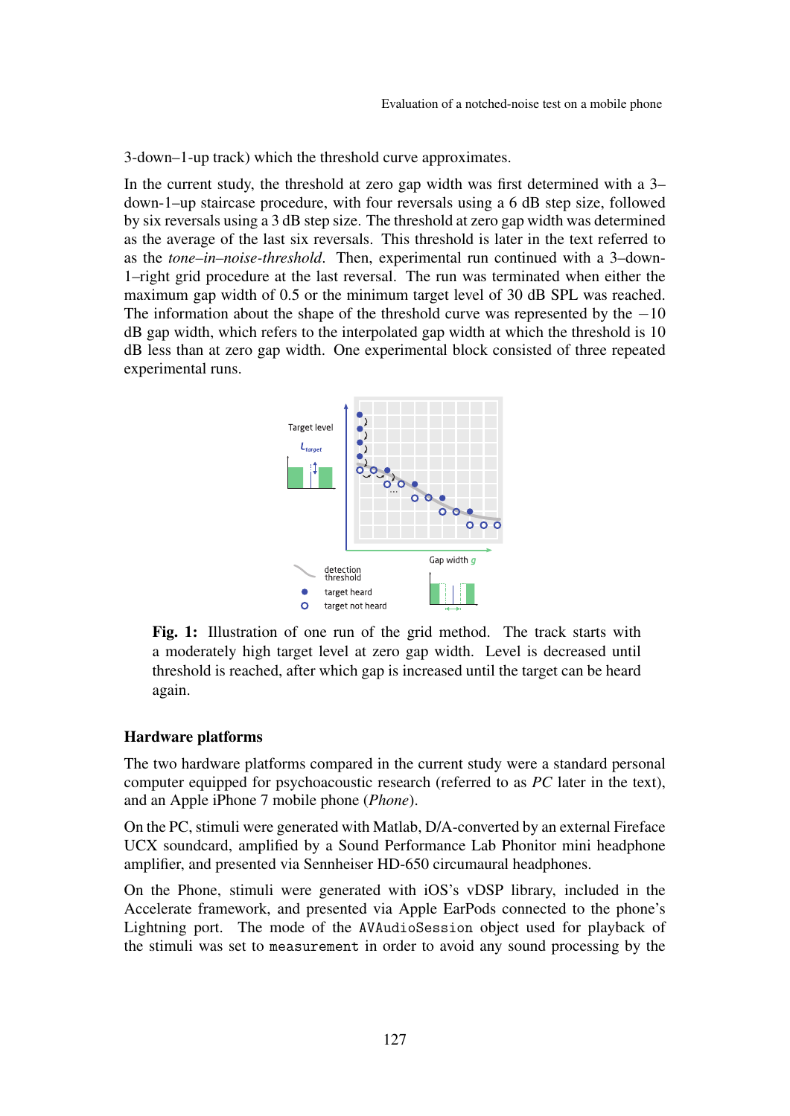3-down–1-up track) which the threshold curve approximates.

In the current study, the threshold at zero gap width was first determined with a 3– down-1–up staircase procedure, with four reversals using a 6 dB step size, followed by six reversals using a 3 dB step size. The threshold at zero gap width was determined as the average of the last six reversals. This threshold is later in the text referred to as the *tone–in–noise-threshold*. Then, experimental run continued with a 3–down-1–right grid procedure at the last reversal. The run was terminated when either the maximum gap width of 0.5 or the minimum target level of 30 dB SPL was reached. The information about the shape of the threshold curve was represented by the  $-10$ dB gap width, which refers to the interpolated gap width at which the threshold is 10 dB less than at zero gap width. One experimental block consisted of three repeated experimental runs.

<span id="page-3-0"></span>

Fig. 1: Illustration of one run of the grid method. The track starts with a moderately high target level at zero gap width. Level is decreased until threshold is reached, after which gap is increased until the target can be heard again.

#### <span id="page-3-1"></span>Hardware platforms

The two hardware platforms compared in the current study were a standard personal computer equipped for psychoacoustic research (referred to as *PC* later in the text), and an Apple iPhone 7 mobile phone (*Phone*).

On the PC, stimuli were generated with Matlab, D/A-converted by an external Fireface UCX soundcard, amplified by a Sound Performance Lab Phonitor mini headphone amplifier, and presented via Sennheiser HD-650 circumaural headphones.

On the Phone, stimuli were generated with iOS's vDSP library, included in the Accelerate framework, and presented via Apple EarPods connected to the phone's Lightning port. The mode of the AVAudioSession object used for playback of the stimuli was set to measurement in order to avoid any sound processing by the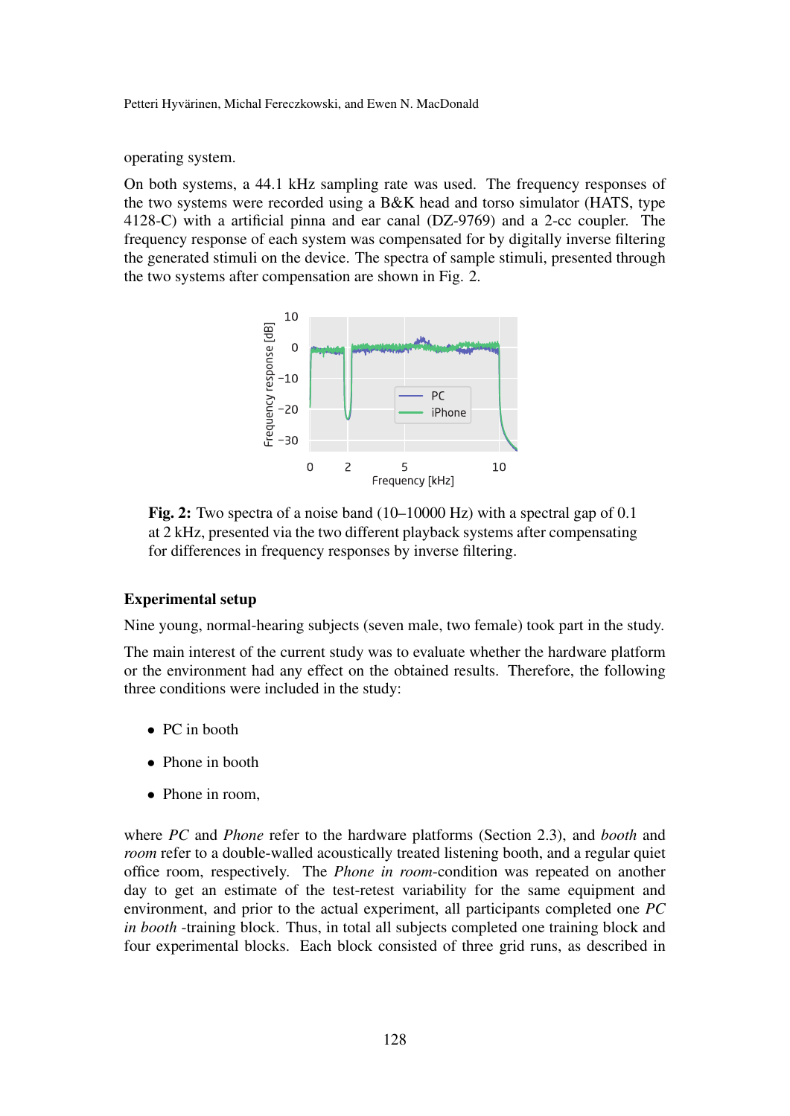#### Petteri Hyvärinen, Michal Fereczkowski, and Ewen N. MacDonald

operating system.

<span id="page-4-0"></span>On both systems, a 44.1 kHz sampling rate was used. The frequency responses of the two systems were recorded using a B&K head and torso simulator (HATS, type 4128-C) with a artificial pinna and ear canal (DZ-9769) and a 2-cc coupler. The frequency response of each system was compensated for by digitally inverse filtering the generated stimuli on the device. The spectra of sample stimuli, presented through the two systems after compensation are shown in Fig. [2.](#page-4-0)



Fig. 2: Two spectra of a noise band (10–10000 Hz) with a spectral gap of 0.1 at 2 kHz, presented via the two different playback systems after compensating for differences in frequency responses by inverse filtering.

### Experimental setup

Nine young, normal-hearing subjects (seven male, two female) took part in the study.

The main interest of the current study was to evaluate whether the hardware platform or the environment had any effect on the obtained results. Therefore, the following three conditions were included in the study:

- PC in booth
- Phone in booth
- Phone in room,

where *PC* and *Phone* refer to the hardware platforms (Section [2.3\)](#page-3-1), and *booth* and *room* refer to a double-walled acoustically treated listening booth, and a regular quiet office room, respectively. The *Phone in room*-condition was repeated on another day to get an estimate of the test-retest variability for the same equipment and environment, and prior to the actual experiment, all participants completed one *PC in booth* -training block. Thus, in total all subjects completed one training block and four experimental blocks. Each block consisted of three grid runs, as described in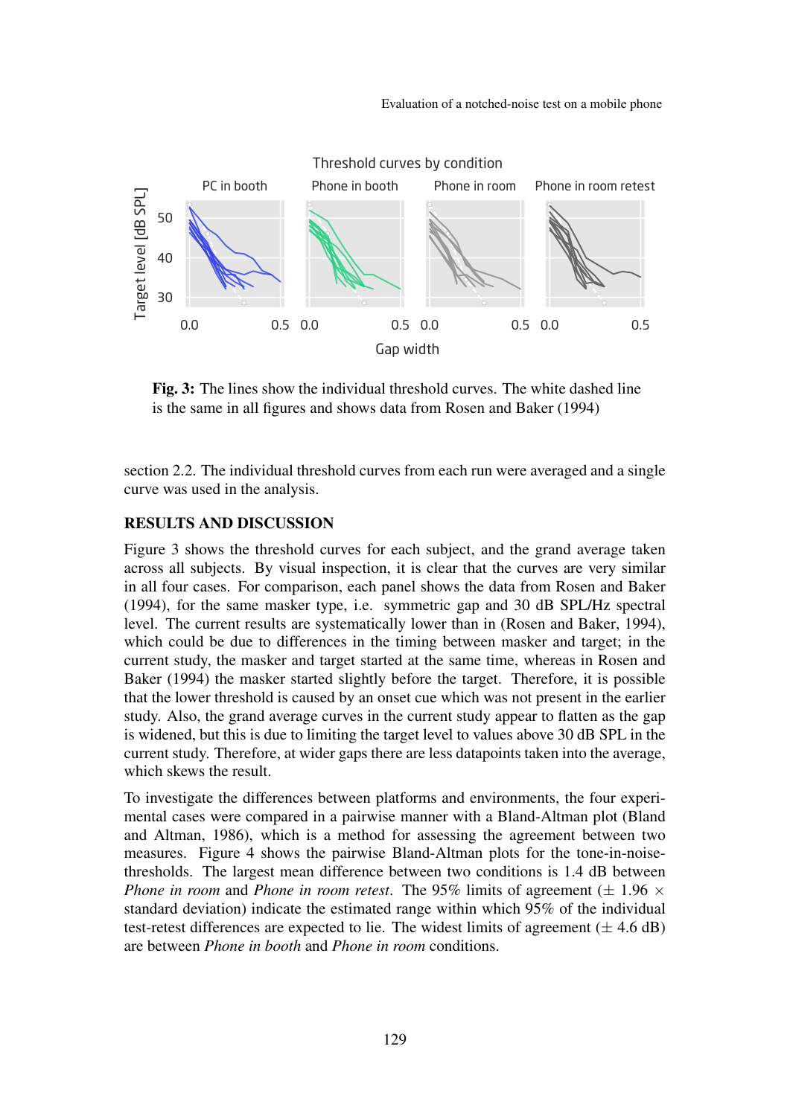Evaluation of a notched-noise test on a mobile phone

<span id="page-5-0"></span>

Fig. 3: The lines show the individual threshold curves. The white dashed line is the same in all figures and shows data from [Rosen and Baker](#page-8-4) [\(1994\)](#page-8-4)

section [2.2.](#page-2-0) The individual threshold curves from each run were averaged and a single curve was used in the analysis.

#### RESULTS AND DISCUSSION

Figure [3](#page-5-0) shows the threshold curves for each subject, and the grand average taken across all subjects. By visual inspection, it is clear that the curves are very similar in all four cases. For comparison, each panel shows the data from [Rosen and Baker](#page-8-4) [\(1994\)](#page-8-4), for the same masker type, i.e. symmetric gap and 30 dB SPL/Hz spectral level. The current results are systematically lower than in [\(Rosen and Baker, 1994\)](#page-8-4), which could be due to differences in the timing between masker and target; in the current study, the masker and target started at the same time, whereas in [Rosen and](#page-8-4) [Baker](#page-8-4) [\(1994\)](#page-8-4) the masker started slightly before the target. Therefore, it is possible that the lower threshold is caused by an onset cue which was not present in the earlier study. Also, the grand average curves in the current study appear to flatten as the gap is widened, but this is due to limiting the target level to values above 30 dB SPL in the current study. Therefore, at wider gaps there are less datapoints taken into the average, which skews the result.

To investigate the differences between platforms and environments, the four experimental cases were compared in a pairwise manner with a Bland-Altman plot [\(Bland](#page-8-5) [and Altman, 1986\)](#page-8-5), which is a method for assessing the agreement between two measures. Figure [4](#page-6-0) shows the pairwise Bland-Altman plots for the tone-in-noisethresholds. The largest mean difference between two conditions is 1.4 dB between *Phone in room* and *Phone in room retest*. The 95% limits of agreement ( $\pm$  1.96  $\times$ standard deviation) indicate the estimated range within which 95% of the individual test-retest differences are expected to lie. The widest limits of agreement  $(\pm 4.6 \text{ dB})$ are between *Phone in booth* and *Phone in room* conditions.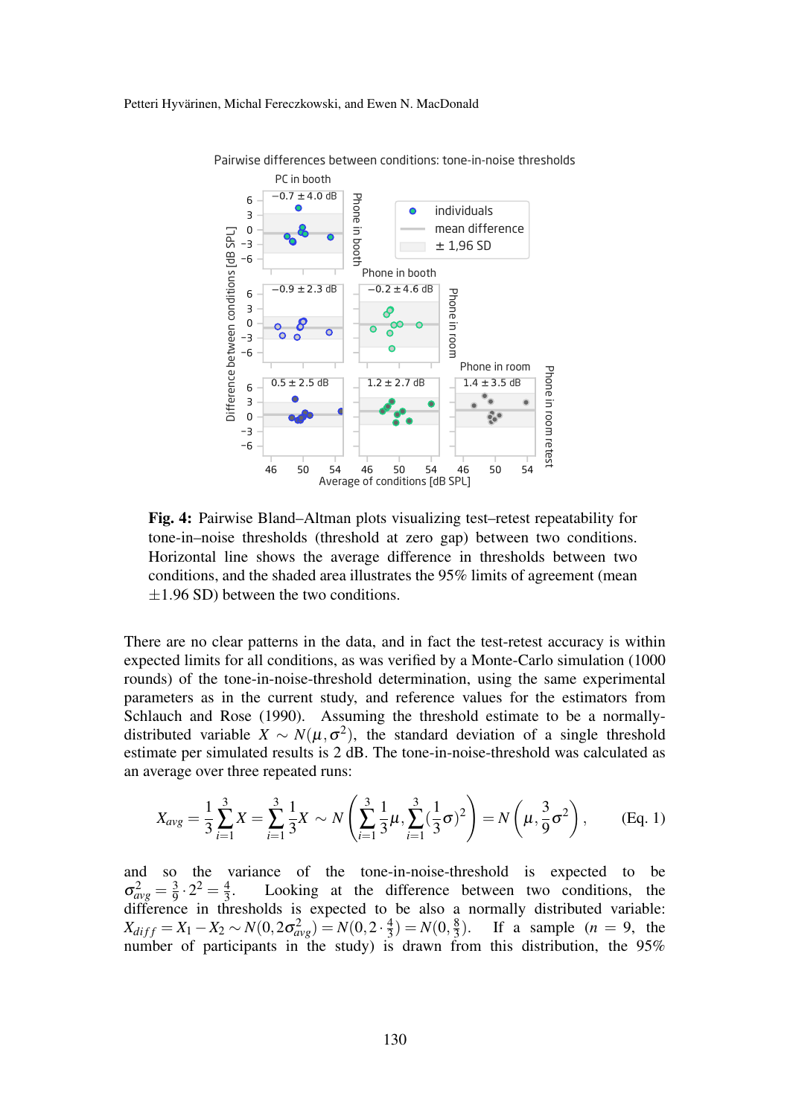

<span id="page-6-0"></span>Pairwise differences between conditions: tone-in-noise thresholds

Fig. 4: Pairwise Bland–Altman plots visualizing test–retest repeatability for tone-in–noise thresholds (threshold at zero gap) between two conditions. Horizontal line shows the average difference in thresholds between two conditions, and the shaded area illustrates the 95% limits of agreement (mean  $\pm$ 1.96 SD) between the two conditions.

There are no clear patterns in the data, and in fact the test-retest accuracy is within expected limits for all conditions, as was verified by a Monte-Carlo simulation (1000 rounds) of the tone-in-noise-threshold determination, using the same experimental parameters as in the current study, and reference values for the estimators from [Schlauch and Rose](#page-8-6) [\(1990\)](#page-8-6). Assuming the threshold estimate to be a normallydistributed variable  $X \sim N(\mu, \sigma^2)$ , the standard deviation of a single threshold estimate per simulated results is 2 dB. The tone-in-noise-threshold was calculated as an average over three repeated runs:

$$
X_{avg} = \frac{1}{3} \sum_{i=1}^{3} X = \sum_{i=1}^{3} \frac{1}{3} X \sim N \left( \sum_{i=1}^{3} \frac{1}{3} \mu, \sum_{i=1}^{3} (\frac{1}{3} \sigma)^2 \right) = N \left( \mu, \frac{3}{9} \sigma^2 \right), \quad \text{(Eq. 1)}
$$

and so the variance of the tone-in-noise-threshold is expected to be  $\sigma_{avg}^2 = \frac{3}{9}$  $\frac{3}{9} \cdot 2^2 = \frac{4}{3}$ 3 . Looking at the difference between two conditions, the difference in thresholds is expected to be also a normally distributed variable:  $X_{diff} = X_1 - X_2 \sim N(0, 2\sigma_{avg}^2) = N(0, 2 \cdot \frac{4}{3})$  $(\frac{4}{3}) = N(0, \frac{8}{3})$ 3 If a sample  $(n = 9,$  the number of participants in the study) is drawn from this distribution, the 95%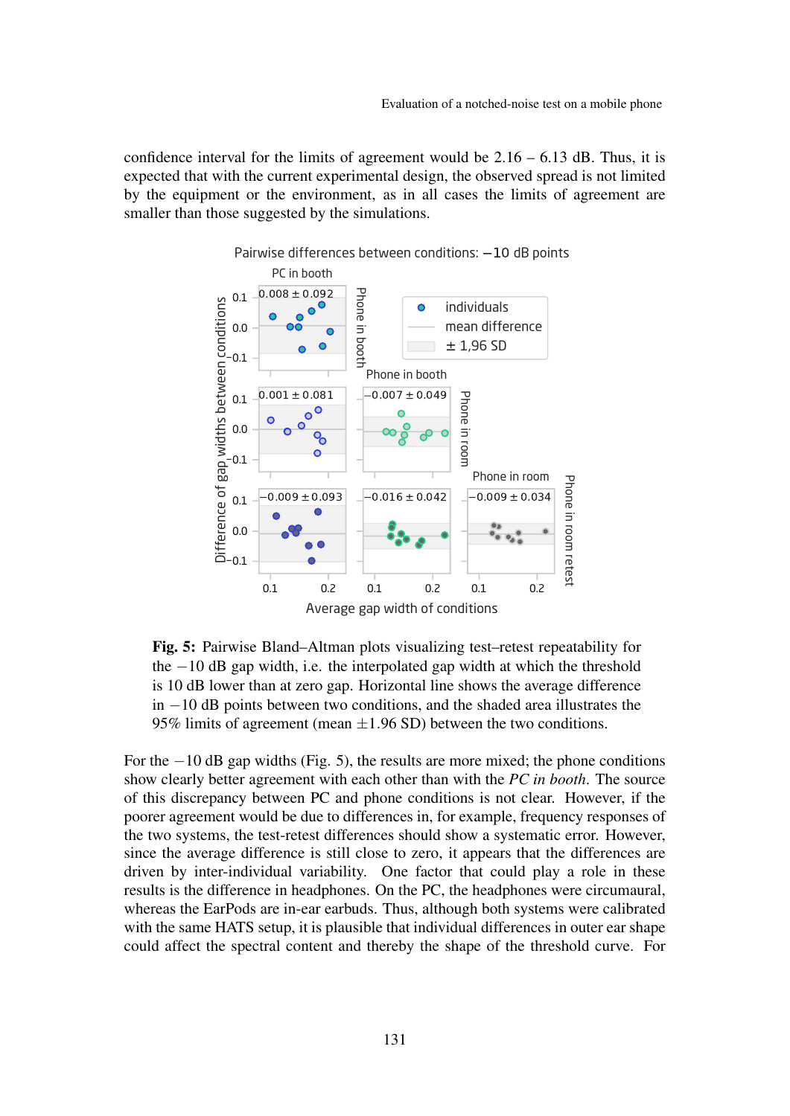<span id="page-7-0"></span>confidence interval for the limits of agreement would be  $2.16 - 6.13$  dB. Thus, it is expected that with the current experimental design, the observed spread is not limited by the equipment or the environment, as in all cases the limits of agreement are smaller than those suggested by the simulations.



Pairwise differences between conditions:  $-10$  dB points

Fig. 5: Pairwise Bland–Altman plots visualizing test–retest repeatability for the −10 dB gap width, i.e. the interpolated gap width at which the threshold is 10 dB lower than at zero gap. Horizontal line shows the average difference in −10 dB points between two conditions, and the shaded area illustrates the 95% limits of agreement (mean  $\pm$ 1.96 SD) between the two conditions.

For the −10 dB gap widths (Fig. [5\)](#page-7-0), the results are more mixed; the phone conditions show clearly better agreement with each other than with the *PC in booth*. The source of this discrepancy between PC and phone conditions is not clear. However, if the poorer agreement would be due to differences in, for example, frequency responses of the two systems, the test-retest differences should show a systematic error. However, since the average difference is still close to zero, it appears that the differences are driven by inter-individual variability. One factor that could play a role in these results is the difference in headphones. On the PC, the headphones were circumaural, whereas the EarPods are in-ear earbuds. Thus, although both systems were calibrated with the same HATS setup, it is plausible that individual differences in outer ear shape could affect the spectral content and thereby the shape of the threshold curve. For